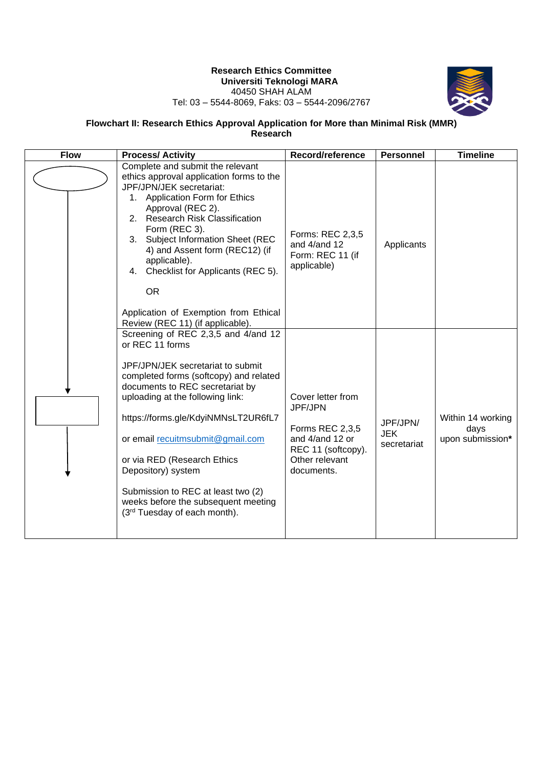# **Research Ethics Committee Universiti Teknologi MARA** 40450 SHAH ALAM



#### Tel: 03 – 5544-8069, Faks: 03 – 5544-2096/2767

#### **Flowchart II: Research Ethics Approval Application for More than Minimal Risk (MMR) Research**

| <b>Flow</b> | <b>Process/Activity</b>                                                                                                                                                                                                                                                                                                                                                                                                                                      | Record/reference                                                                                                                | <b>Personnel</b>                      | <b>Timeline</b>                               |
|-------------|--------------------------------------------------------------------------------------------------------------------------------------------------------------------------------------------------------------------------------------------------------------------------------------------------------------------------------------------------------------------------------------------------------------------------------------------------------------|---------------------------------------------------------------------------------------------------------------------------------|---------------------------------------|-----------------------------------------------|
|             | Complete and submit the relevant<br>ethics approval application forms to the<br>JPF/JPN/JEK secretariat:<br><b>Application Form for Ethics</b><br>1.<br>Approval (REC 2).<br>2. Research Risk Classification<br>Form (REC 3).<br>Subject Information Sheet (REC<br>3.<br>4) and Assent form (REC12) (if<br>applicable).<br>Checklist for Applicants (REC 5).<br>4.<br><b>OR</b><br>Application of Exemption from Ethical<br>Review (REC 11) (if applicable). | Forms: REC 2,3,5<br>and 4/and 12<br>Form: REC 11 (if<br>applicable)                                                             | Applicants                            |                                               |
|             | Screening of REC 2,3,5 and 4/and 12<br>or REC 11 forms<br>JPF/JPN/JEK secretariat to submit<br>completed forms (softcopy) and related<br>documents to REC secretariat by<br>uploading at the following link:<br>https://forms.gle/KdyiNMNsLT2UR6fL7<br>or email recultmsubmit@gmail.com<br>or via RED (Research Ethics<br>Depository) system<br>Submission to REC at least two (2)<br>weeks before the subsequent meeting<br>(3rd Tuesday of each month).    | Cover letter from<br><b>JPF/JPN</b><br>Forms REC 2,3,5<br>and 4/and 12 or<br>REC 11 (softcopy).<br>Other relevant<br>documents. | JPF/JPN/<br><b>JEK</b><br>secretariat | Within 14 working<br>days<br>upon submission* |